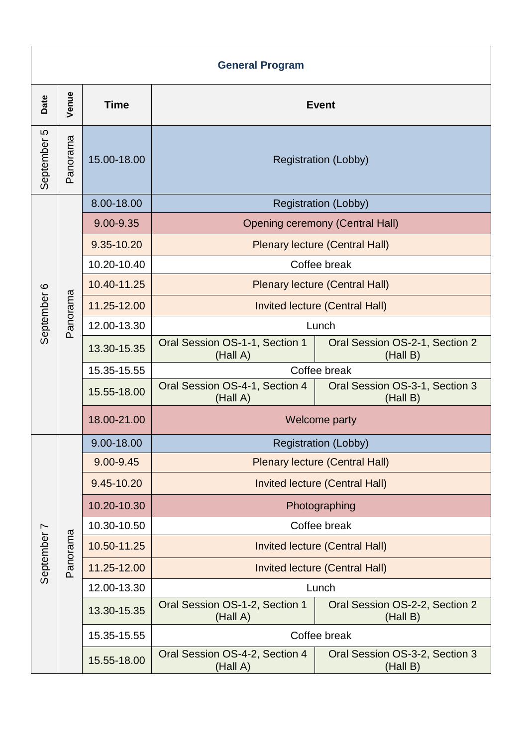| <b>General Program</b> |          |             |                                            |                                            |  |  |  |
|------------------------|----------|-------------|--------------------------------------------|--------------------------------------------|--|--|--|
| Date                   | Venue    | <b>Time</b> | <b>Event</b>                               |                                            |  |  |  |
| Ю<br>September         | Panorama | 15.00-18.00 | <b>Registration (Lobby)</b>                |                                            |  |  |  |
| September 6            | Panorama | 8.00-18.00  | <b>Registration (Lobby)</b>                |                                            |  |  |  |
|                        |          | 9.00-9.35   | <b>Opening ceremony (Central Hall)</b>     |                                            |  |  |  |
|                        |          | 9.35-10.20  | <b>Plenary lecture (Central Hall)</b>      |                                            |  |  |  |
|                        |          | 10.20-10.40 | Coffee break                               |                                            |  |  |  |
|                        |          | 10.40-11.25 | <b>Plenary lecture (Central Hall)</b>      |                                            |  |  |  |
|                        |          | 11.25-12.00 | Invited lecture (Central Hall)             |                                            |  |  |  |
|                        |          | 12.00-13.30 | Lunch                                      |                                            |  |  |  |
|                        |          | 13.30-15.35 | Oral Session OS-1-1, Section 1<br>(Hall A) | Oral Session OS-2-1, Section 2<br>(Hall B) |  |  |  |
|                        |          | 15.35-15.55 | Coffee break                               |                                            |  |  |  |
|                        |          | 15.55-18.00 | Oral Session OS-4-1, Section 4<br>(Hall A) | Oral Session OS-3-1, Section 3<br>(Hall B) |  |  |  |
|                        |          | 18.00-21.00 | Welcome party                              |                                            |  |  |  |
| September 7            | Panorama | 9.00-18.00  | <b>Registration (Lobby)</b>                |                                            |  |  |  |
|                        |          | 9.00-9.45   | <b>Plenary lecture (Central Hall)</b>      |                                            |  |  |  |
|                        |          | 9.45-10.20  | <b>Invited lecture (Central Hall)</b>      |                                            |  |  |  |
|                        |          | 10.20-10.30 | Photographing                              |                                            |  |  |  |
|                        |          | 10.30-10.50 | Coffee break                               |                                            |  |  |  |
|                        |          | 10.50-11.25 | <b>Invited lecture (Central Hall)</b>      |                                            |  |  |  |
|                        |          | 11.25-12.00 | Invited lecture (Central Hall)             |                                            |  |  |  |
|                        |          | 12.00-13.30 | Lunch                                      |                                            |  |  |  |
|                        |          | 13.30-15.35 | Oral Session OS-1-2, Section 1<br>(Hall A) | Oral Session OS-2-2, Section 2<br>(Hall B) |  |  |  |
|                        |          | 15.35-15.55 | Coffee break                               |                                            |  |  |  |
|                        |          | 15.55-18.00 | Oral Session OS-4-2, Section 4<br>(Hall A) | Oral Session OS-3-2, Section 3<br>(Hall B) |  |  |  |